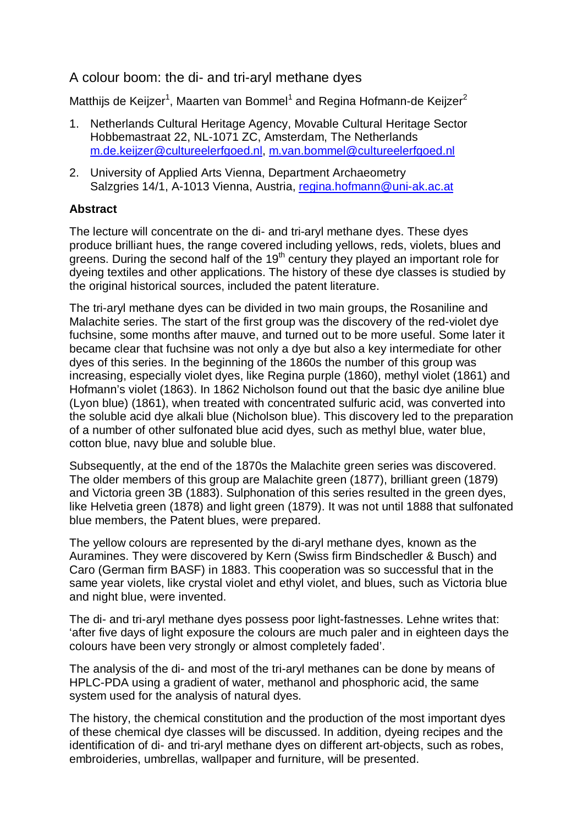## A colour boom: the di- and tri-aryl methane dyes

Matthijs de Keijzer<sup>1</sup>, Maarten van Bommel<sup>1</sup> and Regina Hofmann-de Keijzer<sup>2</sup>

- 1. Netherlands Cultural Heritage Agency, Movable Cultural Heritage Sector Hobbemastraat 22, NL-1071 ZC, Amsterdam, The Netherlands m.de.keijzer@cultureelerfgoed.nl, m.van.bommel@cultureelerfgoed.nl
- 2. University of Applied Arts Vienna, Department Archaeometry Salzgries 14/1, A-1013 Vienna, Austria, regina.hofmann@uni-ak.ac.at

## **Abstract**

The lecture will concentrate on the di- and tri-aryl methane dyes. These dyes produce brilliant hues, the range covered including yellows, reds, violets, blues and greens. During the second half of the  $19<sup>th</sup>$  century they played an important role for dyeing textiles and other applications. The history of these dye classes is studied by the original historical sources, included the patent literature.

The tri-aryl methane dyes can be divided in two main groups, the Rosaniline and Malachite series. The start of the first group was the discovery of the red-violet dye fuchsine, some months after mauve, and turned out to be more useful. Some later it became clear that fuchsine was not only a dye but also a key intermediate for other dyes of this series. In the beginning of the 1860s the number of this group was increasing, especially violet dyes, like Regina purple (1860), methyl violet (1861) and Hofmann's violet (1863). In 1862 Nicholson found out that the basic dye aniline blue (Lyon blue) (1861), when treated with concentrated sulfuric acid, was converted into the soluble acid dye alkali blue (Nicholson blue). This discovery led to the preparation of a number of other sulfonated blue acid dyes, such as methyl blue, water blue, cotton blue, navy blue and soluble blue.

Subsequently, at the end of the 1870s the Malachite green series was discovered. The older members of this group are Malachite green (1877), brilliant green (1879) and Victoria green 3B (1883). Sulphonation of this series resulted in the green dyes, like Helvetia green (1878) and light green (1879). It was not until 1888 that sulfonated blue members, the Patent blues, were prepared.

The yellow colours are represented by the di-aryl methane dyes, known as the Auramines. They were discovered by Kern (Swiss firm Bindschedler & Busch) and Caro (German firm BASF) in 1883. This cooperation was so successful that in the same year violets, like crystal violet and ethyl violet, and blues, such as Victoria blue and night blue, were invented.

The di- and tri-aryl methane dyes possess poor light-fastnesses. Lehne writes that: 'after five days of light exposure the colours are much paler and in eighteen days the colours have been very strongly or almost completely faded'.

The analysis of the di- and most of the tri-aryl methanes can be done by means of HPLC-PDA using a gradient of water, methanol and phosphoric acid, the same system used for the analysis of natural dyes.

The history, the chemical constitution and the production of the most important dyes of these chemical dye classes will be discussed. In addition, dyeing recipes and the identification of di- and tri-aryl methane dyes on different art-objects, such as robes, embroideries, umbrellas, wallpaper and furniture, will be presented.